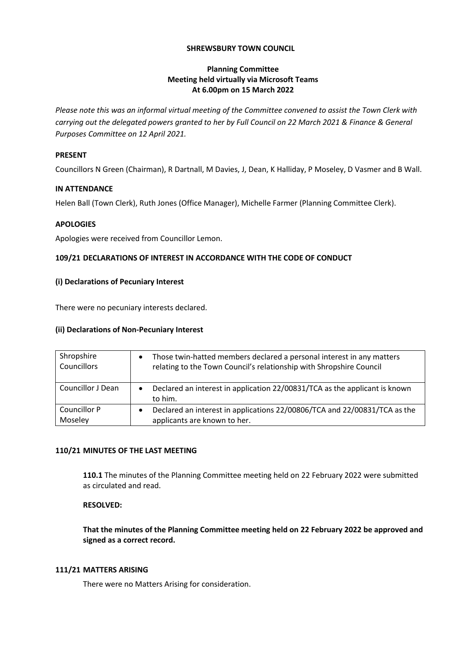### **SHREWSBURY TOWN COUNCIL**

## **Planning Committee Meeting held virtually via Microsoft Teams At 6.00pm on 15 March 2022**

*Please note this was an informal virtual meeting of the Committee convened to assist the Town Clerk with carrying out the delegated powers granted to her by Full Council on 22 March 2021 & Finance & General Purposes Committee on 12 April 2021.*

### **PRESENT**

Councillors N Green (Chairman), R Dartnall, M Davies, J, Dean, K Halliday, P Moseley, D Vasmer and B Wall.

#### **IN ATTENDANCE**

Helen Ball (Town Clerk), Ruth Jones (Office Manager), Michelle Farmer (Planning Committee Clerk).

## **APOLOGIES**

Apologies were received from Councillor Lemon.

## **109/21 DECLARATIONS OF INTEREST IN ACCORDANCE WITH THE CODE OF CONDUCT**

## **(i) Declarations of Pecuniary Interest**

There were no pecuniary interests declared.

# **(ii) Declarations of Non-Pecuniary Interest**

| Shropshire<br>Councillors | Those twin-hatted members declared a personal interest in any matters<br>relating to the Town Council's relationship with Shropshire Council |
|---------------------------|----------------------------------------------------------------------------------------------------------------------------------------------|
| Councillor J Dean         | Declared an interest in application 22/00831/TCA as the applicant is known<br>$\bullet$<br>to him.                                           |
| Councillor P<br>Moseley   | Declared an interest in applications 22/00806/TCA and 22/00831/TCA as the<br>$\bullet$<br>applicants are known to her.                       |

# **110/21 MINUTES OF THE LAST MEETING**

**110.1** The minutes of the Planning Committee meeting held on 22 February 2022 were submitted as circulated and read.

# **RESOLVED:**

**That the minutes of the Planning Committee meeting held on 22 February 2022 be approved and signed as a correct record.**

#### **111/21 MATTERS ARISING**

There were no Matters Arising for consideration.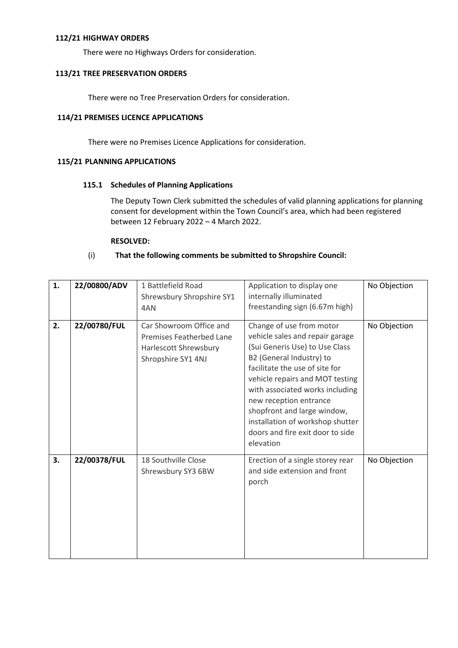#### **112/21 HIGHWAY ORDERS**

There were no Highways Orders for consideration.

### **113/21 TREE PRESERVATION ORDERS**

There were no Tree Preservation Orders for consideration.

## **114/21 PREMISES LICENCE APPLICATIONS**

There were no Premises Licence Applications for consideration.

## **115/21 PLANNING APPLICATIONS**

## **115.1 Schedules of Planning Applications**

The Deputy Town Clerk submitted the schedules of valid planning applications for planning consent for development within the Town Council's area, which had been registered between 12 February 2022 – 4 March 2022.

## **RESOLVED:**

# (i) **That the following comments be submitted to Shropshire Council:**

| 1. | 22/00800/ADV | 1 Battlefield Road<br>Shrewsbury Shropshire SY1<br>4AN                                                    | Application to display one<br>internally illuminated<br>freestanding sign (6.67m high)                                                                                                                                                                                                                                                                                          | No Objection |
|----|--------------|-----------------------------------------------------------------------------------------------------------|---------------------------------------------------------------------------------------------------------------------------------------------------------------------------------------------------------------------------------------------------------------------------------------------------------------------------------------------------------------------------------|--------------|
| 2. | 22/00780/FUL | Car Showroom Office and<br><b>Premises Featherbed Lane</b><br>Harlescott Shrewsbury<br>Shropshire SY1 4NJ | Change of use from motor<br>vehicle sales and repair garage<br>(Sui Generis Use) to Use Class<br>B2 (General Industry) to<br>facilitate the use of site for<br>vehicle repairs and MOT testing<br>with associated works including<br>new reception entrance<br>shopfront and large window,<br>installation of workshop shutter<br>doors and fire exit door to side<br>elevation | No Objection |
| 3. | 22/00378/FUL | 18 Southville Close<br>Shrewsbury SY3 6BW                                                                 | Erection of a single storey rear<br>and side extension and front<br>porch                                                                                                                                                                                                                                                                                                       | No Objection |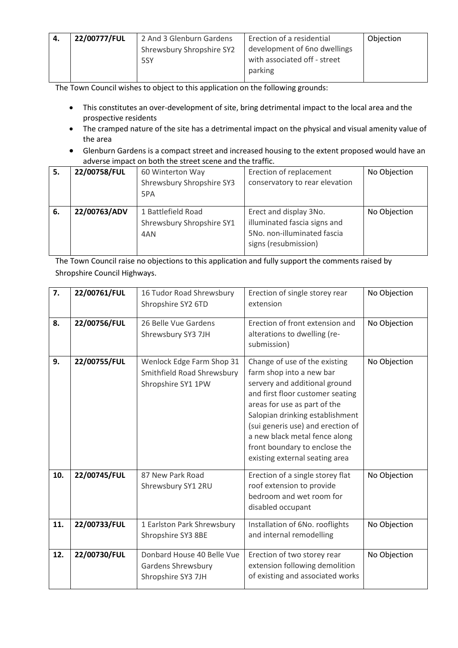| 22/00777/FUL | 2 And 3 Glenburn Gardens  | Erection of a residential    | Objection |
|--------------|---------------------------|------------------------------|-----------|
|              | Shrewsbury Shropshire SY2 | development of 6no dwellings |           |
|              | 5SY                       | with associated off - street |           |
|              |                           | parking                      |           |

The Town Council wishes to object to this application on the following grounds:

- This constitutes an over-development of site, bring detrimental impact to the local area and the prospective residents
- The cramped nature of the site has a detrimental impact on the physical and visual amenity value of the area
- Glenburn Gardens is a compact street and increased housing to the extent proposed would have an adverse impact on both the street scene and the traffic.

| 5.  | 22/00758/FUL | 60 Winterton Way          | Erection of replacement        | No Objection |
|-----|--------------|---------------------------|--------------------------------|--------------|
|     |              | Shrewsbury Shropshire SY3 | conservatory to rear elevation |              |
|     |              | 5PA                       |                                |              |
| -6. | 22/00763/ADV | 1 Battlefield Road        | Erect and display 3No.         | No Objection |
|     |              | Shrewsbury Shropshire SY1 | illuminated fascia signs and   |              |
|     |              | 4AN                       | 5No. non-illuminated fascia    |              |
|     |              |                           | signs (resubmission)           |              |
|     |              |                           |                                |              |

The Town Council raise no objections to this application and fully support the comments raised by Shropshire Council Highways.

| 7.  | 22/00761/FUL | 16 Tudor Road Shrewsbury<br>Shropshire SY2 6TD                                | Erection of single storey rear<br>extension                                                                                                                                                                                                                                                                                                | No Objection |
|-----|--------------|-------------------------------------------------------------------------------|--------------------------------------------------------------------------------------------------------------------------------------------------------------------------------------------------------------------------------------------------------------------------------------------------------------------------------------------|--------------|
| 8.  | 22/00756/FUL | 26 Belle Vue Gardens<br>Shrewsbury SY3 7JH                                    | Erection of front extension and<br>alterations to dwelling (re-<br>submission)                                                                                                                                                                                                                                                             | No Objection |
| 9.  | 22/00755/FUL | Wenlock Edge Farm Shop 31<br>Smithfield Road Shrewsbury<br>Shropshire SY1 1PW | Change of use of the existing<br>farm shop into a new bar<br>servery and additional ground<br>and first floor customer seating<br>areas for use as part of the<br>Salopian drinking establishment<br>(sui generis use) and erection of<br>a new black metal fence along<br>front boundary to enclose the<br>existing external seating area | No Objection |
| 10. | 22/00745/FUL | 87 New Park Road<br>Shrewsbury SY1 2RU                                        | Erection of a single storey flat<br>roof extension to provide<br>bedroom and wet room for<br>disabled occupant                                                                                                                                                                                                                             | No Objection |
| 11. | 22/00733/FUL | 1 Earlston Park Shrewsbury<br>Shropshire SY3 8BE                              | Installation of 6No. rooflights<br>and internal remodelling                                                                                                                                                                                                                                                                                | No Objection |
| 12. | 22/00730/FUL | Donbard House 40 Belle Vue<br>Gardens Shrewsbury<br>Shropshire SY3 7JH        | Erection of two storey rear<br>extension following demolition<br>of existing and associated works                                                                                                                                                                                                                                          | No Objection |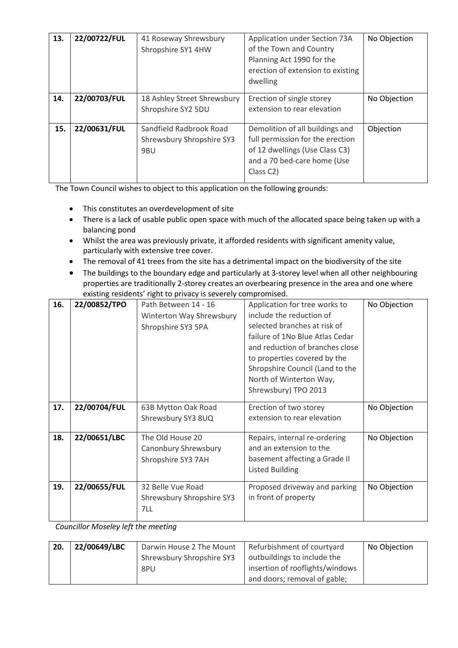| 13. | 22/00722/FUL | 41 Roseway Shrewsbury<br>Shropshire SY1 4HW                 | Application under Section 73A<br>of the Town and Country<br>Planning Act 1990 for the<br>erection of extension to existing<br>dwelling                         | No Objection |
|-----|--------------|-------------------------------------------------------------|----------------------------------------------------------------------------------------------------------------------------------------------------------------|--------------|
| 14. | 22/00703/FUL | 18 Ashley Street Shrewsbury<br>Shropshire SY2 5DU           | Erection of single storey<br>extension to rear elevation                                                                                                       | No Objection |
| 15. | 22/00631/FUL | Sandfield Radbrook Road<br>Shrewsbury Shropshire SY3<br>9BU | Demolition of all buildings and<br>full permission for the erection<br>of 12 dwellings (Use Class C3)<br>and a 70 bed-care home (Use<br>Class C <sub>2</sub> ) | Objection    |

The Town Council wishes to object to this application on the following grounds:

- This constitutes an overdevelopment of site
- There is a lack of usable public open space with much of the allocated space being taken up with a balancing pond
- Whilst the area was previously private, it afforded residents with significant amenity value, particularly with extensive tree cover.
- The removal of 41 trees from the site has a detrimental impact on the biodiversity of the site
- The buildings to the boundary edge and particularly at 3-storey level when all other neighbouring properties are traditionally 2-storey creates an overbearing presence in the area and one where existing residents' right to privacy is severely compromised.

| 16. | 22/00852/TPO | Path Between 14 - 16      | Application for tree works to   | No Objection |
|-----|--------------|---------------------------|---------------------------------|--------------|
|     |              | Winterton Way Shrewsbury  | include the reduction of        |              |
|     |              | Shropshire SY3 5PA        | selected branches at risk of    |              |
|     |              |                           | failure of 1No Blue Atlas Cedar |              |
|     |              |                           | and reduction of branches close |              |
|     |              |                           | to properties covered by the    |              |
|     |              |                           | Shropshire Council (Land to the |              |
|     |              |                           | North of Winterton Way,         |              |
|     |              |                           | Shrewsbury) TPO 2013            |              |
| 17. | 22/00704/FUL | 63B Mytton Oak Road       | Erection of two storey          | No Objection |
|     |              | Shrewsbury SY3 8UQ        | extension to rear elevation     |              |
|     |              |                           |                                 |              |
| 18. | 22/00651/LBC | The Old House 20          | Repairs, internal re-ordering   | No Objection |
|     |              | Canonbury Shrewsbury      | and an extension to the         |              |
|     |              | Shropshire SY3 7AH        | basement affecting a Grade II   |              |
|     |              |                           | <b>Listed Building</b>          |              |
| 19. | 22/00655/FUL | 32 Belle Vue Road         | Proposed driveway and parking   | No Objection |
|     |              | Shrewsbury Shropshire SY3 | in front of property            |              |
|     |              | 7LL                       |                                 |              |
|     |              |                           |                                 |              |

*Councillor Moseley left the meeting*

| 20. | 22/00649/LBC | Darwin House 2 The Mount  | Refurbishment of courtyard      | No Objection |
|-----|--------------|---------------------------|---------------------------------|--------------|
|     |              | Shrewsbury Shropshire SY3 | outbuildings to include the     |              |
|     |              | 8PU                       | insertion of rooflights/windows |              |
|     |              |                           | and doors; removal of gable;    |              |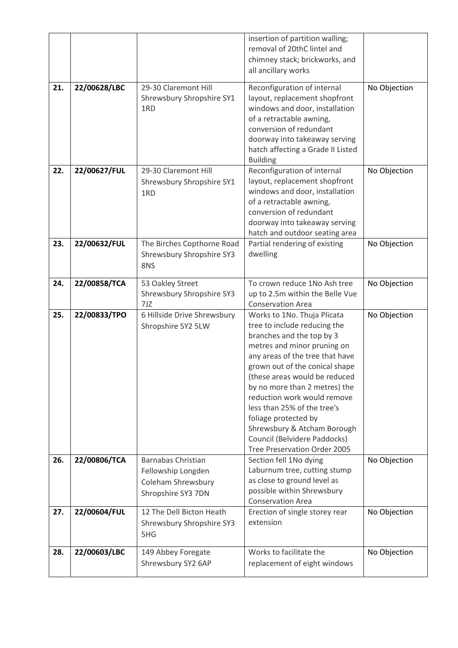|     |              |                                                                                             | insertion of partition walling;<br>removal of 20thC lintel and                                                                                                                                                                                                                                                                                                                                                                                      |              |
|-----|--------------|---------------------------------------------------------------------------------------------|-----------------------------------------------------------------------------------------------------------------------------------------------------------------------------------------------------------------------------------------------------------------------------------------------------------------------------------------------------------------------------------------------------------------------------------------------------|--------------|
|     |              |                                                                                             | chimney stack; brickworks, and<br>all ancillary works                                                                                                                                                                                                                                                                                                                                                                                               |              |
| 21. | 22/00628/LBC | 29-30 Claremont Hill<br>Shrewsbury Shropshire SY1<br>1RD                                    | Reconfiguration of internal<br>layout, replacement shopfront<br>windows and door, installation<br>of a retractable awning,<br>conversion of redundant<br>doorway into takeaway serving<br>hatch affecting a Grade II Listed<br><b>Building</b>                                                                                                                                                                                                      | No Objection |
| 22. | 22/00627/FUL | 29-30 Claremont Hill<br>Shrewsbury Shropshire SY1<br>1RD                                    | Reconfiguration of internal<br>layout, replacement shopfront<br>windows and door, installation<br>of a retractable awning,<br>conversion of redundant<br>doorway into takeaway serving<br>hatch and outdoor seating area                                                                                                                                                                                                                            | No Objection |
| 23. | 22/00632/FUL | The Birches Copthorne Road<br>Shrewsbury Shropshire SY3<br>8NS                              | Partial rendering of existing<br>dwelling                                                                                                                                                                                                                                                                                                                                                                                                           | No Objection |
| 24. | 22/00858/TCA | 53 Oakley Street<br>Shrewsbury Shropshire SY3<br>7JZ                                        | To crown reduce 1No Ash tree<br>up to 2.5m within the Belle Vue<br><b>Conservation Area</b>                                                                                                                                                                                                                                                                                                                                                         | No Objection |
| 25. | 22/00833/TPO | 6 Hillside Drive Shrewsbury<br>Shropshire SY2 5LW                                           | Works to 1No. Thuja Plicata<br>tree to include reducing the<br>branches and the top by 3<br>metres and minor pruning on<br>any areas of the tree that have<br>grown out of the conical shape<br>(these areas would be reduced<br>by no more than 2 metres) the<br>reduction work would remove<br>less than 25% of the tree's<br>foliage protected by<br>Shrewsbury & Atcham Borough<br>Council (Belvidere Paddocks)<br>Tree Preservation Order 2005 | No Objection |
| 26. | 22/00806/TCA | <b>Barnabas Christian</b><br>Fellowship Longden<br>Coleham Shrewsbury<br>Shropshire SY3 7DN | Section fell 1No dying<br>Laburnum tree, cutting stump<br>as close to ground level as<br>possible within Shrewsbury<br><b>Conservation Area</b>                                                                                                                                                                                                                                                                                                     | No Objection |
| 27. | 22/00604/FUL | 12 The Dell Bicton Heath<br>Shrewsbury Shropshire SY3<br>5HG                                | Erection of single storey rear<br>extension                                                                                                                                                                                                                                                                                                                                                                                                         | No Objection |
| 28. | 22/00603/LBC | 149 Abbey Foregate<br>Shrewsbury SY2 6AP                                                    | Works to facilitate the<br>replacement of eight windows                                                                                                                                                                                                                                                                                                                                                                                             | No Objection |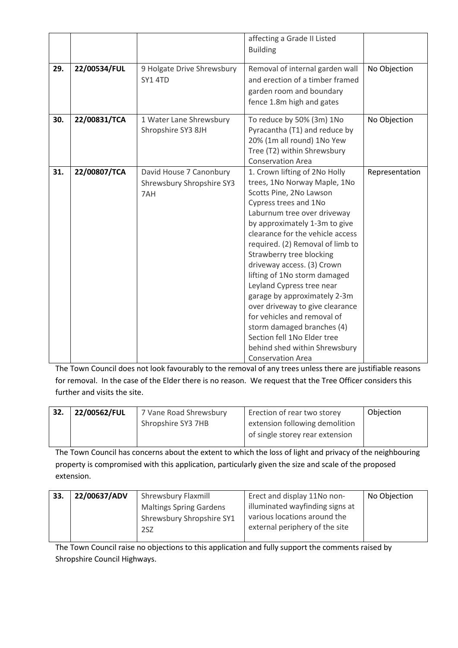|     |              |                                                             | affecting a Grade II Listed<br><b>Building</b>                                                                                                                                                                                                                                                                                                                                                                                                                                                                                                                                                               |                |
|-----|--------------|-------------------------------------------------------------|--------------------------------------------------------------------------------------------------------------------------------------------------------------------------------------------------------------------------------------------------------------------------------------------------------------------------------------------------------------------------------------------------------------------------------------------------------------------------------------------------------------------------------------------------------------------------------------------------------------|----------------|
| 29. | 22/00534/FUL | 9 Holgate Drive Shrewsbury<br>SY1 4TD                       | Removal of internal garden wall<br>and erection of a timber framed<br>garden room and boundary<br>fence 1.8m high and gates                                                                                                                                                                                                                                                                                                                                                                                                                                                                                  | No Objection   |
| 30. | 22/00831/TCA | 1 Water Lane Shrewsbury<br>Shropshire SY3 8JH               | To reduce by 50% (3m) 1No<br>Pyracantha (T1) and reduce by<br>20% (1m all round) 1No Yew<br>Tree (T2) within Shrewsbury<br><b>Conservation Area</b>                                                                                                                                                                                                                                                                                                                                                                                                                                                          | No Objection   |
| 31. | 22/00807/TCA | David House 7 Canonbury<br>Shrewsbury Shropshire SY3<br>7AH | 1. Crown lifting of 2No Holly<br>trees, 1No Norway Maple, 1No<br>Scotts Pine, 2No Lawson<br>Cypress trees and 1No<br>Laburnum tree over driveway<br>by approximately 1-3m to give<br>clearance for the vehicle access<br>required. (2) Removal of limb to<br>Strawberry tree blocking<br>driveway access. (3) Crown<br>lifting of 1No storm damaged<br>Leyland Cypress tree near<br>garage by approximately 2-3m<br>over driveway to give clearance<br>for vehicles and removal of<br>storm damaged branches (4)<br>Section fell 1No Elder tree<br>behind shed within Shrewsbury<br><b>Conservation Area</b> | Representation |

The Town Council does not look favourably to the removal of any trees unless there are justifiable reasons for removal. In the case of the Elder there is no reason. We request that the Tree Officer considers this further and visits the site.

| 32. | 22/00562/FUL | 7 Vane Road Shrewsbury | Erection of rear two storey     | Objection |
|-----|--------------|------------------------|---------------------------------|-----------|
|     |              | Shropshire SY3 7HB     | extension following demolition  |           |
|     |              |                        | of single storey rear extension |           |
|     |              |                        |                                 |           |

The Town Council has concerns about the extent to which the loss of light and privacy of the neighbouring property is compromised with this application, particularly given the size and scale of the proposed extension.

| 33. | 22/00637/ADV | <b>Shrewsbury Flaxmill</b>     | Erect and display 11No non-     | No Objection |
|-----|--------------|--------------------------------|---------------------------------|--------------|
|     |              | <b>Maltings Spring Gardens</b> | illuminated wayfinding signs at |              |
|     |              | Shrewsbury Shropshire SY1      | various locations around the    |              |
|     |              | 2SZ                            | external periphery of the site  |              |
|     |              |                                |                                 |              |

The Town Council raise no objections to this application and fully support the comments raised by Shropshire Council Highways.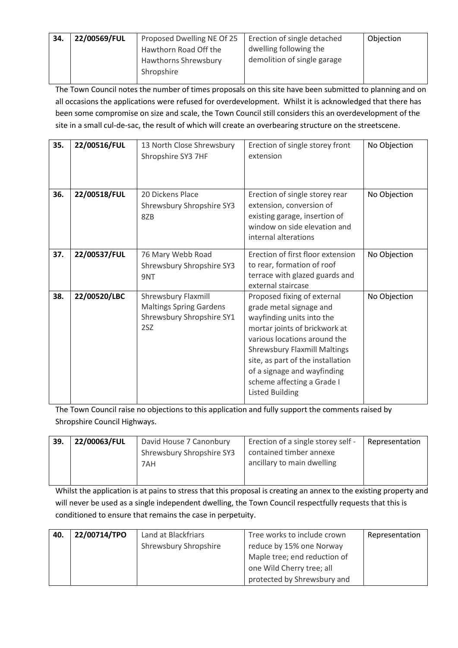| -34. | 22/00569/FUL | Proposed Dwelling NE Of 25 | Erection of single detached | Objection |
|------|--------------|----------------------------|-----------------------------|-----------|
|      |              | Hawthorn Road Off the      | dwelling following the      |           |
|      |              | Hawthorns Shrewsbury       | demolition of single garage |           |
|      |              | Shropshire                 |                             |           |
|      |              |                            |                             |           |

The Town Council notes the number of times proposals on this site have been submitted to planning and on all occasions the applications were refused for overdevelopment. Whilst it is acknowledged that there has been some compromise on size and scale, the Town Council still considers this an overdevelopment of the site in a small cul-de-sac, the result of which will create an overbearing structure on the streetscene.

| 35. | 22/00516/FUL | 13 North Close Shrewsbury<br>Shropshire SY3 7HF                                           | Erection of single storey front<br>extension                                                                                                                                                                                                                                                                            | No Objection |
|-----|--------------|-------------------------------------------------------------------------------------------|-------------------------------------------------------------------------------------------------------------------------------------------------------------------------------------------------------------------------------------------------------------------------------------------------------------------------|--------------|
| 36. | 22/00518/FUL | 20 Dickens Place<br>Shrewsbury Shropshire SY3<br>8ZB                                      | Erection of single storey rear<br>extension, conversion of<br>existing garage, insertion of<br>window on side elevation and<br>internal alterations                                                                                                                                                                     | No Objection |
| 37. | 22/00537/FUL | 76 Mary Webb Road<br>Shrewsbury Shropshire SY3<br>9NT                                     | Erection of first floor extension<br>to rear, formation of roof<br>terrace with glazed guards and<br>external staircase                                                                                                                                                                                                 | No Objection |
| 38. | 22/00520/LBC | Shrewsbury Flaxmill<br><b>Maltings Spring Gardens</b><br>Shrewsbury Shropshire SY1<br>2SZ | Proposed fixing of external<br>grade metal signage and<br>wayfinding units into the<br>mortar joints of brickwork at<br>various locations around the<br><b>Shrewsbury Flaxmill Maltings</b><br>site, as part of the installation<br>of a signage and wayfinding<br>scheme affecting a Grade I<br><b>Listed Building</b> | No Objection |

The Town Council raise no objections to this application and fully support the comments raised by Shropshire Council Highways.

| Representation |
|----------------|
|                |
|                |
|                |
|                |

Whilst the application is at pains to stress that this proposal is creating an annex to the existing property and will never be used as a single independent dwelling, the Town Council respectfully requests that this is conditioned to ensure that remains the case in perpetuity.

| 40. | 22/00714/TPO | Land at Blackfriars   | Tree works to include crown  | Representation |
|-----|--------------|-----------------------|------------------------------|----------------|
|     |              | Shrewsbury Shropshire | reduce by 15% one Norway     |                |
|     |              |                       | Maple tree; end reduction of |                |
|     |              |                       | one Wild Cherry tree; all    |                |
|     |              |                       | protected by Shrewsbury and  |                |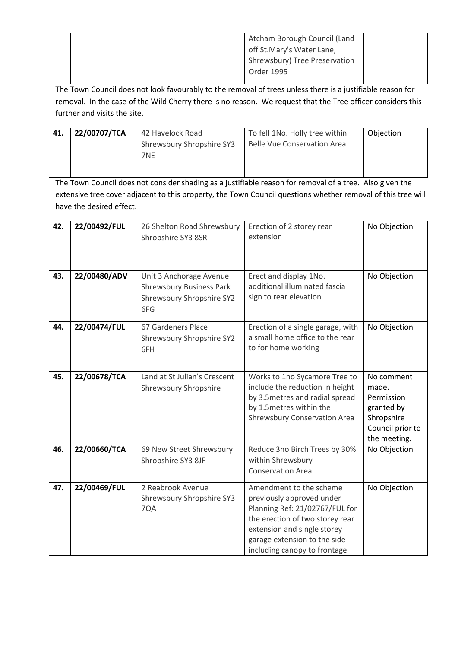|  |  | Atcham Borough Council (Land  |  |
|--|--|-------------------------------|--|
|  |  | off St.Mary's Water Lane,     |  |
|  |  | Shrewsbury) Tree Preservation |  |
|  |  | Order 1995                    |  |
|  |  |                               |  |

The Town Council does not look favourably to the removal of trees unless there is a justifiable reason for removal. In the case of the Wild Cherry there is no reason. We request that the Tree officer considers this further and visits the site.

| 41. | 22/00707/TCA | 42 Havelock Road          | To fell 1No. Holly tree within     | Objection |
|-----|--------------|---------------------------|------------------------------------|-----------|
|     |              | Shrewsbury Shropshire SY3 | <b>Belle Vue Conservation Area</b> |           |
|     |              | 7NE                       |                                    |           |
|     |              |                           |                                    |           |

The Town Council does not consider shading as a justifiable reason for removal of a tree. Also given the extensive tree cover adjacent to this property, the Town Council questions whether removal of this tree will have the desired effect.

| 42. | 22/00492/FUL | 26 Shelton Road Shrewsbury<br>Shropshire SY3 8SR                                               | Erection of 2 storey rear<br>extension                                                                                                                                                                                   | No Objection                                                                                      |
|-----|--------------|------------------------------------------------------------------------------------------------|--------------------------------------------------------------------------------------------------------------------------------------------------------------------------------------------------------------------------|---------------------------------------------------------------------------------------------------|
| 43. | 22/00480/ADV | Unit 3 Anchorage Avenue<br><b>Shrewsbury Business Park</b><br>Shrewsbury Shropshire SY2<br>6FG | Erect and display 1No.<br>additional illuminated fascia<br>sign to rear elevation                                                                                                                                        | No Objection                                                                                      |
| 44. | 22/00474/FUL | 67 Gardeners Place<br>Shrewsbury Shropshire SY2<br>6FH                                         | Erection of a single garage, with<br>a small home office to the rear<br>to for home working                                                                                                                              | No Objection                                                                                      |
| 45. | 22/00678/TCA | Land at St Julian's Crescent<br>Shrewsbury Shropshire                                          | Works to 1no Sycamore Tree to<br>include the reduction in height<br>by 3.5 metres and radial spread<br>by 1.5 metres within the<br><b>Shrewsbury Conservation Area</b>                                                   | No comment<br>made.<br>Permission<br>granted by<br>Shropshire<br>Council prior to<br>the meeting. |
| 46. | 22/00660/TCA | 69 New Street Shrewsbury<br>Shropshire SY3 8JF                                                 | Reduce 3no Birch Trees by 30%<br>within Shrewsbury<br><b>Conservation Area</b>                                                                                                                                           | No Objection                                                                                      |
| 47. | 22/00469/FUL | 2 Reabrook Avenue<br>Shrewsbury Shropshire SY3<br>7QA                                          | Amendment to the scheme<br>previously approved under<br>Planning Ref: 21/02767/FUL for<br>the erection of two storey rear<br>extension and single storey<br>garage extension to the side<br>including canopy to frontage | No Objection                                                                                      |